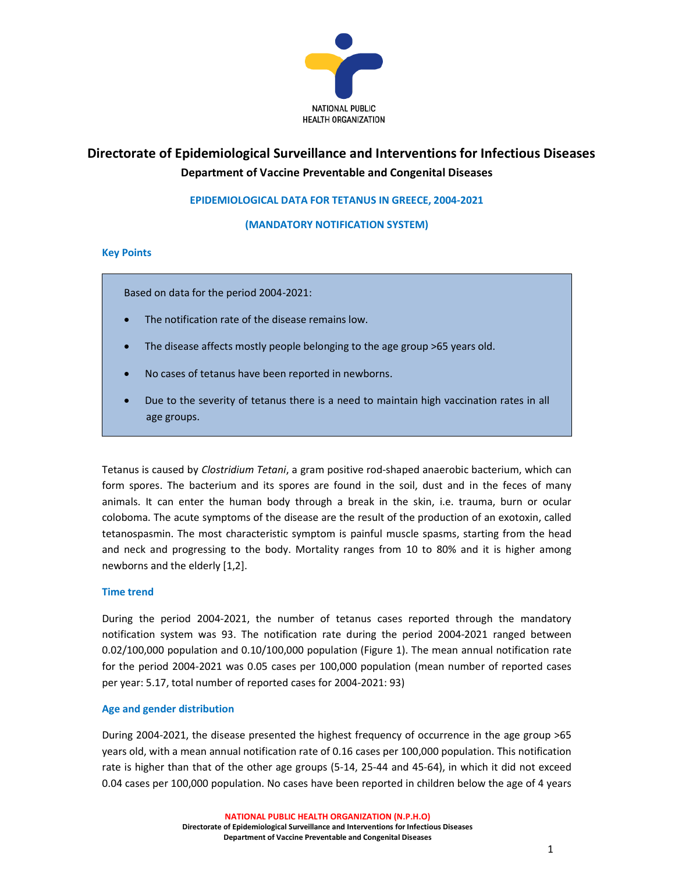

# Directorate of Epidemiological Surveillance and Interventions for Infectious Diseases Department of Vaccine Preventable and Congenital Diseases

# EPIDEMIOLOGICAL DATA FOR TETANUS IN GREECE, 2004-2021

(MANDATORY NOTIFICATION SYSTEM)

#### Key Points

Based on data for the period 2004-2021:

- The notification rate of the disease remains low.
- The disease affects mostly people belonging to the age group >65 years old.
- No cases of tetanus have been reported in newborns.
- Due to the severity of tetanus there is a need to maintain high vaccination rates in all age groups.

Tetanus is caused by Clostridium Tetani, a gram positive rod-shaped anaerobic bacterium, which can form spores. The bacterium and its spores are found in the soil, dust and in the feces of many animals. It can enter the human body through a break in the skin, i.e. trauma, burn or ocular coloboma. The acute symptoms of the disease are the result of the production of an exotoxin, called tetanospasmin. The most characteristic symptom is painful muscle spasms, starting from the head and neck and progressing to the body. Mortality ranges from 10 to 80% and it is higher among newborns and the elderly [1,2].

## Time trend

During the period 2004-2021, the number of tetanus cases reported through the mandatory notification system was 93. The notification rate during the period 2004-2021 ranged between 0.02/100,000 population and 0.10/100,000 population (Figure 1). The mean annual notification rate for the period 2004-2021 was 0.05 cases per 100,000 population (mean number of reported cases per year: 5.17, total number of reported cases for 2004-2021: 93)

## Age and gender distribution

During 2004-2021, the disease presented the highest frequency of occurrence in the age group >65 years old, with a mean annual notification rate of 0.16 cases per 100,000 population. This notification rate is higher than that of the other age groups (5-14, 25-44 and 45-64), in which it did not exceed 0.04 cases per 100,000 population. No cases have been reported in children below the age of 4 years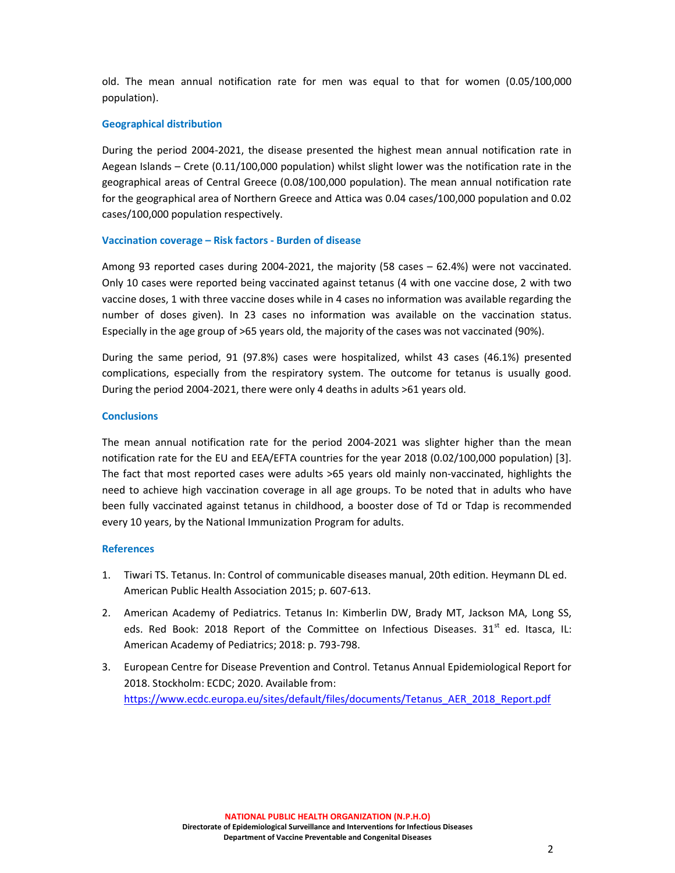old. The mean annual notification rate for men was equal to that for women (0.05/100,000 population).

## Geographical distribution

During the period 2004-2021, the disease presented the highest mean annual notification rate in Aegean Islands – Crete (0.11/100,000 population) whilst slight lower was the notification rate in the geographical areas of Central Greece (0.08/100,000 population). The mean annual notification rate for the geographical area of Northern Greece and Attica was 0.04 cases/100,000 population and 0.02 cases/100,000 population respectively.

#### Vaccination coverage – Risk factors - Burden of disease

Among 93 reported cases during 2004-2021, the majority (58 cases – 62.4%) were not vaccinated. Only 10 cases were reported being vaccinated against tetanus (4 with one vaccine dose, 2 with two vaccine doses, 1 with three vaccine doses while in 4 cases no information was available regarding the number of doses given). In 23 cases no information was available on the vaccination status. Especially in the age group of >65 years old, the majority of the cases was not vaccinated (90%).

During the same period, 91 (97.8%) cases were hospitalized, whilst 43 cases (46.1%) presented complications, especially from the respiratory system. The outcome for tetanus is usually good. During the period 2004-2021, there were only 4 deaths in adults >61 years old.

#### **Conclusions**

The mean annual notification rate for the period 2004-2021 was slighter higher than the mean notification rate for the EU and EEA/EFTA countries for the year 2018 (0.02/100,000 population) [3]. The fact that most reported cases were adults >65 years old mainly non-vaccinated, highlights the need to achieve high vaccination coverage in all age groups. To be noted that in adults who have been fully vaccinated against tetanus in childhood, a booster dose of Td or Tdap is recommended every 10 years, by the National Immunization Program for adults.

#### References

- 1. Tiwari TS. Tetanus. In: Control of communicable diseases manual, 20th edition. Heymann DL ed. American Public Health Association 2015; p. 607-613.
- 2. American Academy of Pediatrics. Tetanus In: Kimberlin DW, Brady MT, Jackson MA, Long SS, eds. Red Book: 2018 Report of the Committee on Infectious Diseases.  $31<sup>st</sup>$  ed. Itasca, IL: American Academy of Pediatrics; 2018: p. 793-798.
- 3. European Centre for Disease Prevention and Control. Tetanus Annual Epidemiological Report for 2018. Stockholm: ECDC; 2020. Available from: https://www.ecdc.europa.eu/sites/default/files/documents/Tetanus\_AER\_2018\_Report.pdf